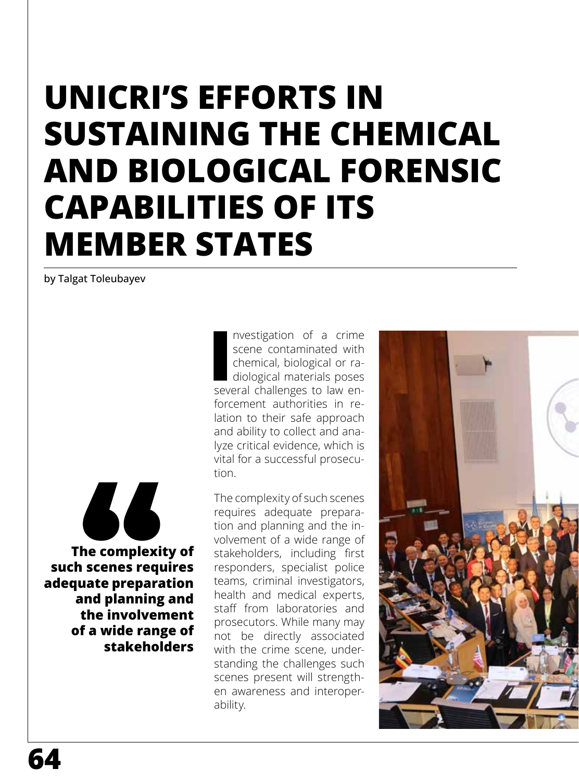## **UNICRI'S EFFORTS IN SUSTAINING THE CHEMICAL AND BIOLOGICAL FORENSIC CAPABILITIES OF ITS MEMBER STATES**

by Talgat Toleubayev



**The complexity of such scenes requires adequate preparation and planning and the involvement of a wide range of stakeholders**

Investigation of a crime<br>
scene contaminated with<br>
chemical, biological or ra-<br>
diological materials poses<br>
several challenges to law ennvestigation of a crime scene contaminated with chemical, biological or radiological materials poses forcement authorities in relation to their safe approach and ability to collect and analyze critical evidence, which is vital for a successful prosecution.

The complexity of such scenes requires adequate preparation and planning and the involvement of a wide range of stakeholders, including first responders, specialist police teams, criminal investigators, health and medical experts, staff from laboratories and prosecutors. While many may not be directly associated with the crime scene, understanding the challenges such scenes present will strengthen awareness and interoperability.

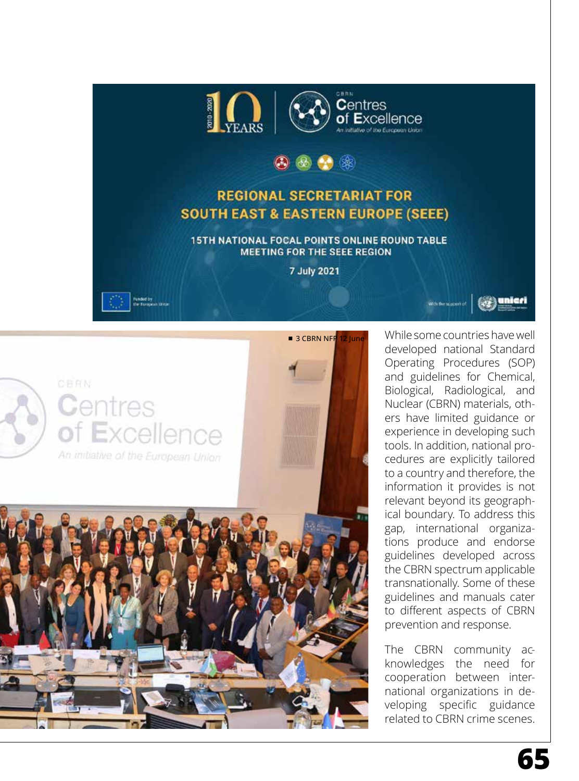

## (88)

## **REGIONAL SECRETARIAT FOR SOUTH EAST & EASTERN EUROPE (SEEE)**

15TH NATIONAL FOCAL POINTS ONLINE ROUND TABLE **MEETING FOR THE SEEE REGION** 

7 July 2021





**3 CBRN NFP 12 June** While some countries have well developed national Standard Operating Procedures (SOP) and guidelines for Chemical, Biological, Radiological, and Nuclear (CBRN) materials, others have limited guidance or experience in developing such tools. In addition, national procedures are explicitly tailored to a country and therefore, the information it provides is not relevant beyond its geographical boundary. To address this gap, international organizations produce and endorse guidelines developed across the CBRN spectrum applicable transnationally. Some of these guidelines and manuals cater to different aspects of CBRN prevention and response.

With the support of

The CBRN community acknowledges the need for cooperation between international organizations in developing specific guidance related to CBRN crime scenes.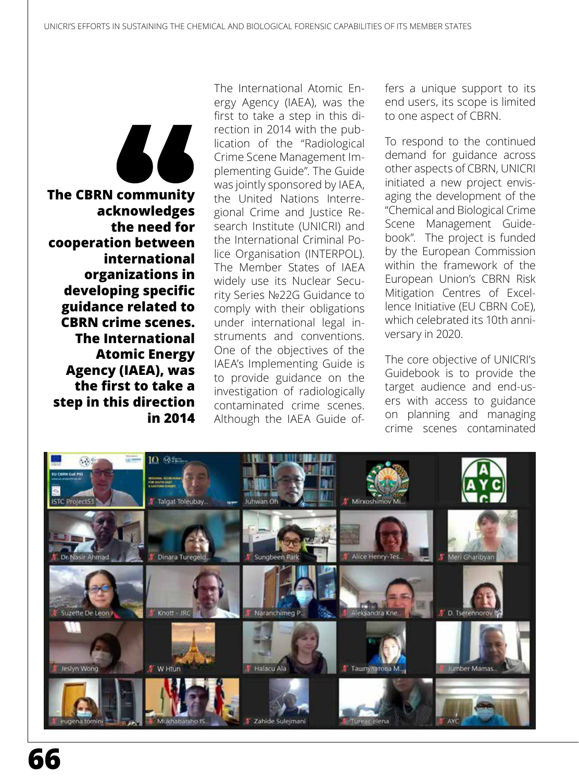

**The CBRN community acknowledges the need for cooperation between international organizations in developing specific guidance related to CBRN crime scenes. The International Atomic Energy Agency (IAEA), was the first to take a step in this direction in 2014** The International Atomic Energy Agency (IAEA), was the first to take a step in this direction in 2014 with the publication of the "Radiological Crime Scene Management Implementing Guide". The Guide was jointly sponsored by IAEA, the United Nations Interregional Crime and Justice Research Institute (UNICRI) and the International Criminal Police Organisation (INTERPOL). The Member States of IAEA widely use its Nuclear Security Series №22G Guidance to comply with their obligations under international legal instruments and conventions. One of the objectives of the IAEA's Implementing Guide is to provide guidance on the investigation of radiologically contaminated crime scenes. Although the IAEA Guide offers a unique support to its end users, its scope is limited to one aspect of CBRN.

To respond to the continued demand for guidance across other aspects of CBRN, UNICRI initiated a new project envisaging the development of the "Chemical and Biological Crime Scene Management Guidebook". The project is funded by the European Commission within the framework of the European Union's CBRN Risk Mitigation Centres of Excellence Initiative (EU CBRN CoE), which celebrated its 10th anniversary in 2020.

The core objective of UNICRI's Guidebook is to provide the target audience and end-users with access to guidance on planning and managing crime scenes contaminated